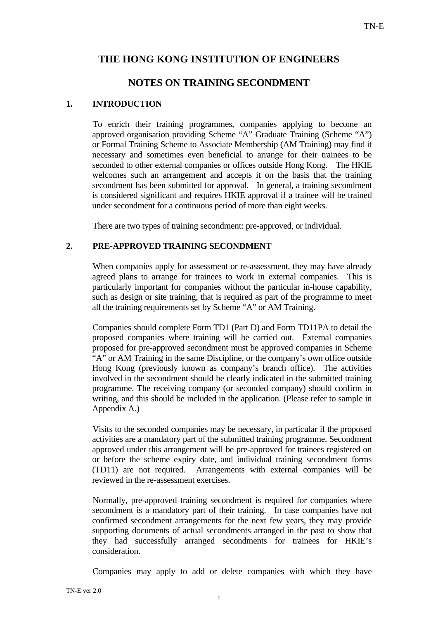# **THE HONG KONG INSTITUTION OF ENGINEERS**

# **NOTES ON TRAINING SECONDMENT**

#### **1. INTRODUCTION**

To enrich their training programmes, companies applying to become an approved organisation providing Scheme "A" Graduate Training (Scheme "A") or Formal Training Scheme to Associate Membership (AM Training) may find it necessary and sometimes even beneficial to arrange for their trainees to be seconded to other external companies or offices outside Hong Kong. The HKIE welcomes such an arrangement and accepts it on the basis that the training secondment has been submitted for approval. In general, a training secondment is considered significant and requires HKIE approval if a trainee will be trained under secondment for a continuous period of more than eight weeks.

There are two types of training secondment: pre-approved, or individual.

#### **2. PRE-APPROVED TRAINING SECONDMENT**

When companies apply for assessment or re-assessment, they may have already agreed plans to arrange for trainees to work in external companies. This is particularly important for companies without the particular in-house capability, such as design or site training, that is required as part of the programme to meet all the training requirements set by Scheme "A" or AM Training.

Companies should complete Form TD1 (Part D) and Form TD11PA to detail the proposed companies where training will be carried out. External companies proposed for pre-approved secondment must be approved companies in Scheme "A" or AM Training in the same Discipline, or the company's own office outside Hong Kong (previously known as company's branch office). The activities involved in the secondment should be clearly indicated in the submitted training programme. The receiving company (or seconded company) should confirm in writing, and this should be included in the application. (Please refer to sample in Appendix A.)

Visits to the seconded companies may be necessary, in particular if the proposed activities are a mandatory part of the submitted training programme. Secondment approved under this arrangement will be pre-approved for trainees registered on or before the scheme expiry date, and individual training secondment forms (TD11) are not required. Arrangements with external companies will be reviewed in the re-assessment exercises.

Normally, pre-approved training secondment is required for companies where secondment is a mandatory part of their training. In case companies have not confirmed secondment arrangements for the next few years, they may provide supporting documents of actual secondments arranged in the past to show that they had successfully arranged secondments for trainees for HKIE's consideration.

Companies may apply to add or delete companies with which they have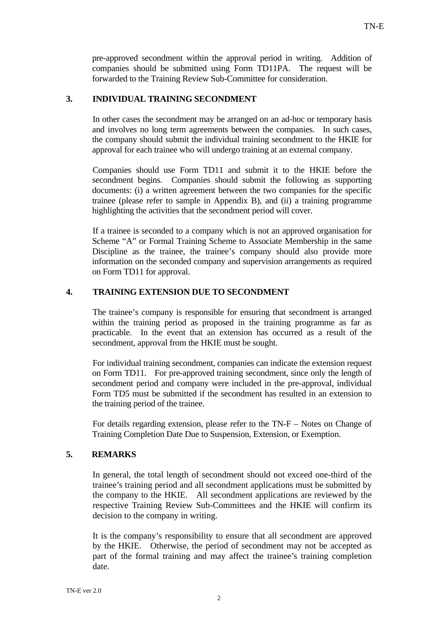pre-approved secondment within the approval period in writing. Addition of companies should be submitted using Form TD11PA. The request will be forwarded to the Training Review Sub-Committee for consideration.

#### **3. INDIVIDUAL TRAINING SECONDMENT**

In other cases the secondment may be arranged on an ad-hoc or temporary basis and involves no long term agreements between the companies. In such cases, the company should submit the individual training secondment to the HKIE for approval for each trainee who will undergo training at an external company.

Companies should use Form TD11 and submit it to the HKIE before the secondment begins. Companies should submit the following as supporting documents: (i) a written agreement between the two companies for the specific trainee (please refer to sample in Appendix B), and (ii) a training programme highlighting the activities that the secondment period will cover.

If a trainee is seconded to a company which is not an approved organisation for Scheme "A" or Formal Training Scheme to Associate Membership in the same Discipline as the trainee, the trainee's company should also provide more information on the seconded company and supervision arrangements as required on Form TD11 for approval.

#### **4. TRAINING EXTENSION DUE TO SECONDMENT**

The trainee's company is responsible for ensuring that secondment is arranged within the training period as proposed in the training programme as far as practicable. In the event that an extension has occurred as a result of the secondment, approval from the HKIE must be sought.

For individual training secondment, companies can indicate the extension request on Form TD11. For pre-approved training secondment, since only the length of secondment period and company were included in the pre-approval, individual Form TD5 must be submitted if the secondment has resulted in an extension to the training period of the trainee.

For details regarding extension, please refer to the TN-F – Notes on Change of Training Completion Date Due to Suspension, Extension, or Exemption.

## **5. REMARKS**

In general, the total length of secondment should not exceed one-third of the trainee's training period and all secondment applications must be submitted by the company to the HKIE. All secondment applications are reviewed by the respective Training Review Sub-Committees and the HKIE will confirm its decision to the company in writing.

It is the company's responsibility to ensure that all secondment are approved by the HKIE. Otherwise, the period of secondment may not be accepted as part of the formal training and may affect the trainee's training completion date.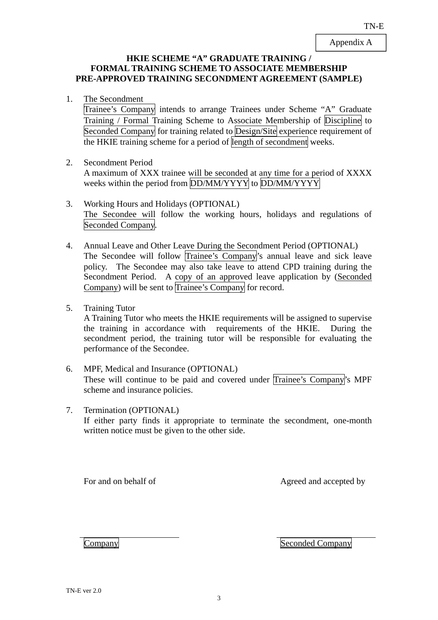### **HKIE SCHEME "A" GRADUATE TRAINING / FORMAL TRAINING SCHEME TO ASSOCIATE MEMBERSHIP PRE-APPROVED TRAINING SECONDMENT AGREEMENT (SAMPLE)**

1. The Secondment

Trainee's Company intends to arrange Trainees under Scheme "A" Graduate Training / Formal Training Scheme to Associate Membership of Discipline to Seconded Company for training related to Design/Site experience requirement of the HKIE training scheme for a period of length of secondment weeks.

- 2. Secondment Period A maximum of XXX trainee will be seconded at any time for a period of XXXX weeks within the period from DD/MM/YYYY to DD/MM/YYYY
- 3. Working Hours and Holidays (OPTIONAL) The Secondee will follow the working hours, holidays and regulations of Seconded Company.
- 4. Annual Leave and Other Leave During the Secondment Period (OPTIONAL) The Secondee will follow Trainee's Company's annual leave and sick leave policy. The Secondee may also take leave to attend CPD training during the Secondment Period. A copy of an approved leave application by (Seconded Company) will be sent to Trainee's Company for record.
- 5. Training Tutor

A Training Tutor who meets the HKIE requirements will be assigned to supervise the training in accordance with requirements of the HKIE. During the secondment period, the training tutor will be responsible for evaluating the performance of the Secondee.

- 6. MPF, Medical and Insurance (OPTIONAL) These will continue to be paid and covered under Trainee's Company's MPF scheme and insurance policies.
- 7. Termination (OPTIONAL) If either party finds it appropriate to terminate the secondment, one-month written notice must be given to the other side.

For and on behalf of Agreed and accepted by

Company Seconded Company